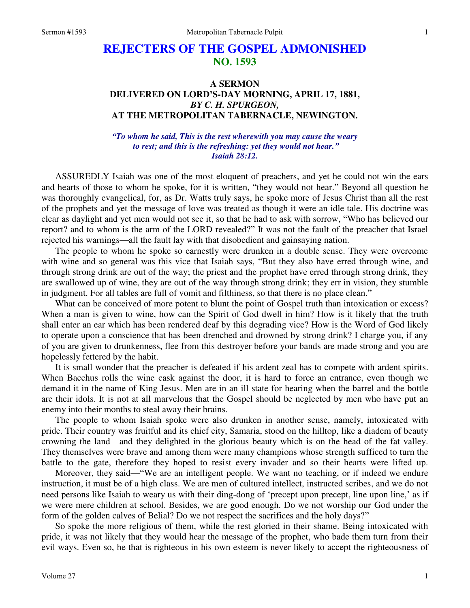## **REJECTERS OF THE GOSPEL ADMONISHED NO. 1593**

## **A SERMON DELIVERED ON LORD'S-DAY MORNING, APRIL 17, 1881,**  *BY C. H. SPURGEON,*  **AT THE METROPOLITAN TABERNACLE, NEWINGTON.**

*"To whom he said, This is the rest wherewith you may cause the weary to rest; and this is the refreshing: yet they would not hear." Isaiah 28:12.* 

ASSUREDLY Isaiah was one of the most eloquent of preachers, and yet he could not win the ears and hearts of those to whom he spoke, for it is written, "they would not hear." Beyond all question he was thoroughly evangelical, for, as Dr. Watts truly says, he spoke more of Jesus Christ than all the rest of the prophets and yet the message of love was treated as though it were an idle tale. His doctrine was clear as daylight and yet men would not see it, so that he had to ask with sorrow, "Who has believed our report? and to whom is the arm of the LORD revealed?" It was not the fault of the preacher that Israel rejected his warnings—all the fault lay with that disobedient and gainsaying nation.

 The people to whom he spoke so earnestly were drunken in a double sense. They were overcome with wine and so general was this vice that Isaiah says, "But they also have erred through wine, and through strong drink are out of the way; the priest and the prophet have erred through strong drink, they are swallowed up of wine, they are out of the way through strong drink; they err in vision, they stumble in judgment. For all tables are full of vomit and filthiness, so that there is no place clean."

 What can be conceived of more potent to blunt the point of Gospel truth than intoxication or excess? When a man is given to wine, how can the Spirit of God dwell in him? How is it likely that the truth shall enter an ear which has been rendered deaf by this degrading vice? How is the Word of God likely to operate upon a conscience that has been drenched and drowned by strong drink? I charge you, if any of you are given to drunkenness, flee from this destroyer before your bands are made strong and you are hopelessly fettered by the habit.

 It is small wonder that the preacher is defeated if his ardent zeal has to compete with ardent spirits. When Bacchus rolls the wine cask against the door, it is hard to force an entrance, even though we demand it in the name of King Jesus. Men are in an ill state for hearing when the barrel and the bottle are their idols. It is not at all marvelous that the Gospel should be neglected by men who have put an enemy into their months to steal away their brains.

 The people to whom Isaiah spoke were also drunken in another sense, namely, intoxicated with pride. Their country was fruitful and its chief city, Samaria, stood on the hilltop, like a diadem of beauty crowning the land—and they delighted in the glorious beauty which is on the head of the fat valley. They themselves were brave and among them were many champions whose strength sufficed to turn the battle to the gate, therefore they hoped to resist every invader and so their hearts were lifted up.

Moreover, they said—"We are an intelligent people. We want no teaching, or if indeed we endure instruction, it must be of a high class. We are men of cultured intellect, instructed scribes, and we do not need persons like Isaiah to weary us with their ding-dong of 'precept upon precept, line upon line,' as if we were mere children at school. Besides, we are good enough. Do we not worship our God under the form of the golden calves of Belial? Do we not respect the sacrifices and the holy days?"

 So spoke the more religious of them, while the rest gloried in their shame. Being intoxicated with pride, it was not likely that they would hear the message of the prophet, who bade them turn from their evil ways. Even so, he that is righteous in his own esteem is never likely to accept the righteousness of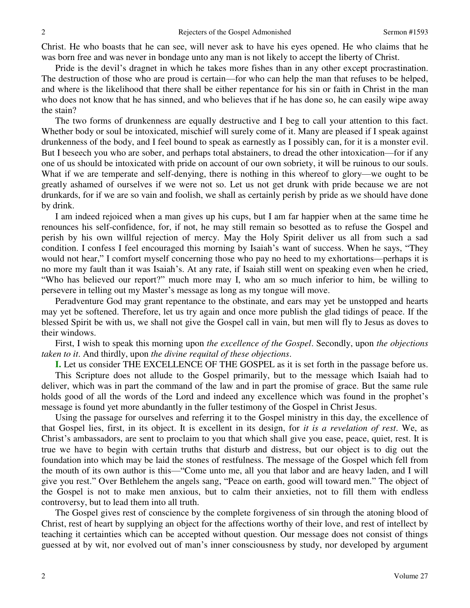Christ. He who boasts that he can see, will never ask to have his eyes opened. He who claims that he was born free and was never in bondage unto any man is not likely to accept the liberty of Christ.

 Pride is the devil's dragnet in which he takes more fishes than in any other except procrastination. The destruction of those who are proud is certain—for who can help the man that refuses to be helped, and where is the likelihood that there shall be either repentance for his sin or faith in Christ in the man who does not know that he has sinned, and who believes that if he has done so, he can easily wipe away the stain?

 The two forms of drunkenness are equally destructive and I beg to call your attention to this fact. Whether body or soul be intoxicated, mischief will surely come of it. Many are pleased if I speak against drunkenness of the body, and I feel bound to speak as earnestly as I possibly can, for it is a monster evil. But I beseech you who are sober, and perhaps total abstainers, to dread the other intoxication—for if any one of us should be intoxicated with pride on account of our own sobriety, it will be ruinous to our souls. What if we are temperate and self-denying, there is nothing in this whereof to glory—we ought to be greatly ashamed of ourselves if we were not so. Let us not get drunk with pride because we are not drunkards, for if we are so vain and foolish, we shall as certainly perish by pride as we should have done by drink.

 I am indeed rejoiced when a man gives up his cups, but I am far happier when at the same time he renounces his self-confidence, for, if not, he may still remain so besotted as to refuse the Gospel and perish by his own willful rejection of mercy. May the Holy Spirit deliver us all from such a sad condition. I confess I feel encouraged this morning by Isaiah's want of success. When he says, "They would not hear," I comfort myself concerning those who pay no heed to my exhortations—perhaps it is no more my fault than it was Isaiah's. At any rate, if Isaiah still went on speaking even when he cried, "Who has believed our report?" much more may I, who am so much inferior to him, be willing to persevere in telling out my Master's message as long as my tongue will move.

 Peradventure God may grant repentance to the obstinate, and ears may yet be unstopped and hearts may yet be softened. Therefore, let us try again and once more publish the glad tidings of peace. If the blessed Spirit be with us, we shall not give the Gospel call in vain, but men will fly to Jesus as doves to their windows.

 First, I wish to speak this morning upon *the excellence of the Gospel*. Secondly, upon *the objections taken to it*. And thirdly, upon *the divine requital of these objections*.

**I.** Let us consider THE EXCELLENCE OF THE GOSPEL as it is set forth in the passage before us. This Scripture does not allude to the Gospel primarily, but to the message which Isaiah had to deliver, which was in part the command of the law and in part the promise of grace. But the same rule holds good of all the words of the Lord and indeed any excellence which was found in the prophet's message is found yet more abundantly in the fuller testimony of the Gospel in Christ Jesus.

 Using the passage for ourselves and referring it to the Gospel ministry in this day, the excellence of that Gospel lies, first, in its object. It is excellent in its design, for *it is a revelation of rest*. We, as Christ's ambassadors, are sent to proclaim to you that which shall give you ease, peace, quiet, rest. It is true we have to begin with certain truths that disturb and distress, but our object is to dig out the foundation into which may be laid the stones of restfulness. The message of the Gospel which fell from the mouth of its own author is this—"Come unto me, all you that labor and are heavy laden, and I will give you rest." Over Bethlehem the angels sang, "Peace on earth, good will toward men." The object of the Gospel is not to make men anxious, but to calm their anxieties, not to fill them with endless controversy, but to lead them into all truth.

 The Gospel gives rest of conscience by the complete forgiveness of sin through the atoning blood of Christ, rest of heart by supplying an object for the affections worthy of their love, and rest of intellect by teaching it certainties which can be accepted without question. Our message does not consist of things guessed at by wit, nor evolved out of man's inner consciousness by study, nor developed by argument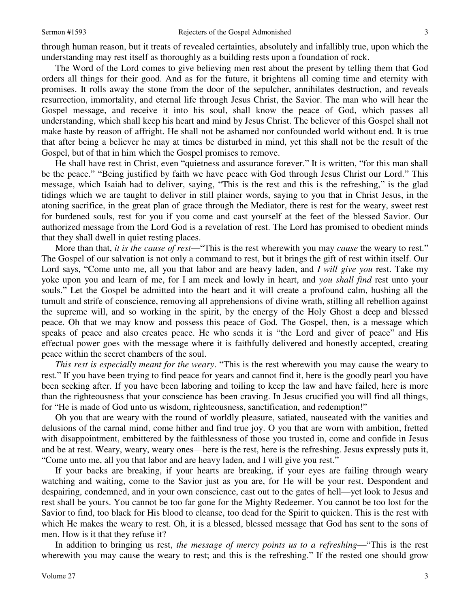through human reason, but it treats of revealed certainties, absolutely and infallibly true, upon which the understanding may rest itself as thoroughly as a building rests upon a foundation of rock.

 The Word of the Lord comes to give believing men rest about the present by telling them that God orders all things for their good. And as for the future, it brightens all coming time and eternity with promises. It rolls away the stone from the door of the sepulcher, annihilates destruction, and reveals resurrection, immortality, and eternal life through Jesus Christ, the Savior. The man who will hear the Gospel message, and receive it into his soul, shall know the peace of God, which passes all understanding, which shall keep his heart and mind by Jesus Christ. The believer of this Gospel shall not make haste by reason of affright. He shall not be ashamed nor confounded world without end. It is true that after being a believer he may at times be disturbed in mind, yet this shall not be the result of the Gospel, but of that in him which the Gospel promises to remove.

 He shall have rest in Christ, even "quietness and assurance forever." It is written, "for this man shall be the peace." "Being justified by faith we have peace with God through Jesus Christ our Lord." This message, which Isaiah had to deliver, saying, "This is the rest and this is the refreshing," is the glad tidings which we are taught to deliver in still plainer words, saying to you that in Christ Jesus, in the atoning sacrifice, in the great plan of grace through the Mediator, there is rest for the weary, sweet rest for burdened souls, rest for you if you come and cast yourself at the feet of the blessed Savior. Our authorized message from the Lord God is a revelation of rest. The Lord has promised to obedient minds that they shall dwell in quiet resting places.

More than that, *it is the cause of rest*—"This is the rest wherewith you may *cause* the weary to rest." The Gospel of our salvation is not only a command to rest, but it brings the gift of rest within itself. Our Lord says, "Come unto me, all you that labor and are heavy laden, and *I will give you* rest. Take my yoke upon you and learn of me, for I am meek and lowly in heart, and *you shall find* rest unto your souls." Let the Gospel be admitted into the heart and it will create a profound calm, hushing all the tumult and strife of conscience, removing all apprehensions of divine wrath, stilling all rebellion against the supreme will, and so working in the spirit, by the energy of the Holy Ghost a deep and blessed peace. Oh that we may know and possess this peace of God. The Gospel, then, is a message which speaks of peace and also creates peace. He who sends it is "the Lord and giver of peace" and His effectual power goes with the message where it is faithfully delivered and honestly accepted, creating peace within the secret chambers of the soul.

*This rest is especially meant for the weary*. "This is the rest wherewith you may cause the weary to rest." If you have been trying to find peace for years and cannot find it, here is the goodly pearl you have been seeking after. If you have been laboring and toiling to keep the law and have failed, here is more than the righteousness that your conscience has been craving. In Jesus crucified you will find all things, for "He is made of God unto us wisdom, righteousness, sanctification, and redemption!"

 Oh you that are weary with the round of worldly pleasure, satiated, nauseated with the vanities and delusions of the carnal mind, come hither and find true joy. O you that are worn with ambition, fretted with disappointment, embittered by the faithlessness of those you trusted in, come and confide in Jesus and be at rest. Weary, weary, weary ones—here is the rest, here is the refreshing. Jesus expressly puts it, "Come unto me, all you that labor and are heavy laden, and I will give you rest."

 If your backs are breaking, if your hearts are breaking, if your eyes are failing through weary watching and waiting, come to the Savior just as you are, for He will be your rest. Despondent and despairing, condemned, and in your own conscience, cast out to the gates of hell—yet look to Jesus and rest shall be yours. You cannot be too far gone for the Mighty Redeemer. You cannot be too lost for the Savior to find, too black for His blood to cleanse, too dead for the Spirit to quicken. This is the rest with which He makes the weary to rest. Oh, it is a blessed, blessed message that God has sent to the sons of men. How is it that they refuse it?

 In addition to bringing us rest, *the message of mercy points us to a refreshing*—"This is the rest wherewith you may cause the weary to rest; and this is the refreshing." If the rested one should grow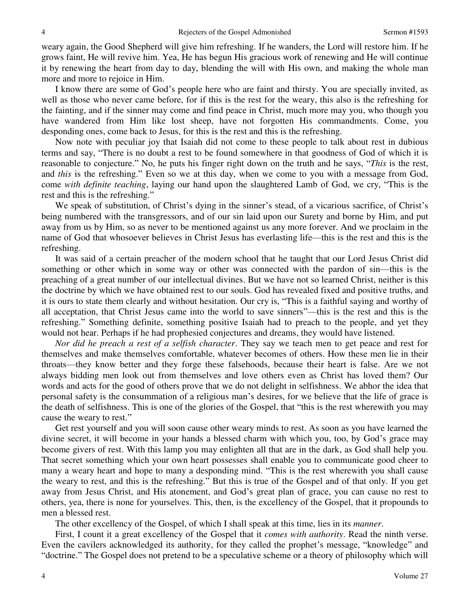weary again, the Good Shepherd will give him refreshing. If he wanders, the Lord will restore him. If he grows faint, He will revive him. Yea, He has begun His gracious work of renewing and He will continue it by renewing the heart from day to day, blending the will with His own, and making the whole man more and more to rejoice in Him.

 I know there are some of God's people here who are faint and thirsty. You are specially invited, as well as those who never came before, for if this is the rest for the weary, this also is the refreshing for the fainting, and if the sinner may come and find peace in Christ, much more may you, who though you have wandered from Him like lost sheep, have not forgotten His commandments. Come, you desponding ones, come back to Jesus, for this is the rest and this is the refreshing.

 Now note with peculiar joy that Isaiah did not come to these people to talk about rest in dubious terms and say, "There is no doubt a rest to be found somewhere in that goodness of God of which it is reasonable to conjecture." No, he puts his finger right down on the truth and he says, "*This* is the rest, and *this* is the refreshing." Even so we at this day, when we come to you with a message from God, come *with definite teaching*, laying our hand upon the slaughtered Lamb of God, we cry, "This is the rest and this is the refreshing."

 We speak of substitution, of Christ's dying in the sinner's stead, of a vicarious sacrifice, of Christ's being numbered with the transgressors, and of our sin laid upon our Surety and borne by Him, and put away from us by Him, so as never to be mentioned against us any more forever. And we proclaim in the name of God that whosoever believes in Christ Jesus has everlasting life—this is the rest and this is the refreshing.

 It was said of a certain preacher of the modern school that he taught that our Lord Jesus Christ did something or other which in some way or other was connected with the pardon of sin—this is the preaching of a great number of our intellectual divines. But we have not so learned Christ, neither is this the doctrine by which we have obtained rest to our souls. God has revealed fixed and positive truths, and it is ours to state them clearly and without hesitation. Our cry is, "This is a faithful saying and worthy of all acceptation, that Christ Jesus came into the world to save sinners"—this is the rest and this is the refreshing." Something definite, something positive Isaiah had to preach to the people, and yet they would not hear. Perhaps if he had prophesied conjectures and dreams, they would have listened.

*Nor did he preach a rest of a selfish character*. They say we teach men to get peace and rest for themselves and make themselves comfortable, whatever becomes of others. How these men lie in their throats—they know better and they forge these falsehoods, because their heart is false. Are we not always bidding men look out from themselves and love others even as Christ has loved them? Our words and acts for the good of others prove that we do not delight in selfishness. We abhor the idea that personal safety is the consummation of a religious man's desires, for we believe that the life of grace is the death of selfishness. This is one of the glories of the Gospel, that "this is the rest wherewith you may cause the weary to rest."

 Get rest yourself and you will soon cause other weary minds to rest. As soon as you have learned the divine secret, it will become in your hands a blessed charm with which you, too, by God's grace may become givers of rest. With this lamp you may enlighten all that are in the dark, as God shall help you. That secret something which your own heart possesses shall enable you to communicate good cheer to many a weary heart and hope to many a desponding mind. "This is the rest wherewith you shall cause the weary to rest, and this is the refreshing." But this is true of the Gospel and of that only. If you get away from Jesus Christ, and His atonement, and God's great plan of grace, you can cause no rest to others, yea, there is none for yourselves. This, then, is the excellency of the Gospel, that it propounds to men a blessed rest.

The other excellency of the Gospel, of which I shall speak at this time, lies in its *manner*.

 First, I count it a great excellency of the Gospel that it *comes with authority*. Read the ninth verse. Even the cavilers acknowledged its authority, for they called the prophet's message, "knowledge" and "doctrine." The Gospel does not pretend to be a speculative scheme or a theory of philosophy which will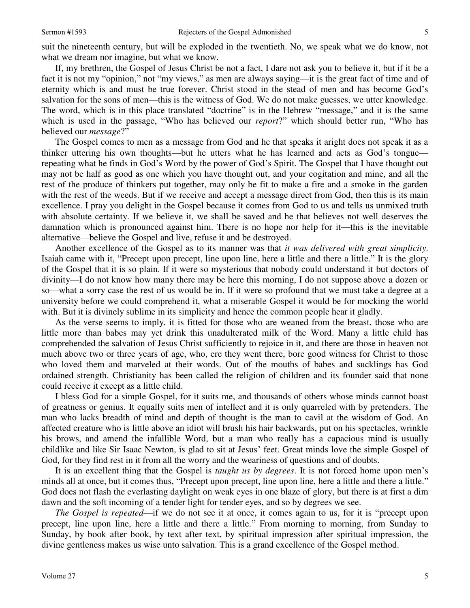suit the nineteenth century, but will be exploded in the twentieth. No, we speak what we do know, not what we dream nor imagine, but what we know.

 If, my brethren, the Gospel of Jesus Christ be not a fact, I dare not ask you to believe it, but if it be a fact it is not my "opinion," not "my views," as men are always saying—it is the great fact of time and of eternity which is and must be true forever. Christ stood in the stead of men and has become God's salvation for the sons of men—this is the witness of God. We do not make guesses, we utter knowledge. The word, which is in this place translated "doctrine" is in the Hebrew "message," and it is the same which is used in the passage, "Who has believed our *report*?" which should better run, "Who has believed our *message*?"

 The Gospel comes to men as a message from God and he that speaks it aright does not speak it as a thinker uttering his own thoughts—but he utters what he has learned and acts as God's tongue repeating what he finds in God's Word by the power of God's Spirit. The Gospel that I have thought out may not be half as good as one which you have thought out, and your cogitation and mine, and all the rest of the produce of thinkers put together, may only be fit to make a fire and a smoke in the garden with the rest of the weeds. But if we receive and accept a message direct from God, then this is its main excellence. I pray you delight in the Gospel because it comes from God to us and tells us unmixed truth with absolute certainty. If we believe it, we shall be saved and he that believes not well deserves the damnation which is pronounced against him. There is no hope nor help for it—this is the inevitable alternative—believe the Gospel and live, refuse it and be destroyed.

 Another excellence of the Gospel as to its manner was that *it was delivered with great simplicity*. Isaiah came with it, "Precept upon precept, line upon line, here a little and there a little." It is the glory of the Gospel that it is so plain. If it were so mysterious that nobody could understand it but doctors of divinity—I do not know how many there may be here this morning, I do not suppose above a dozen or so—what a sorry case the rest of us would be in. If it were so profound that we must take a degree at a university before we could comprehend it, what a miserable Gospel it would be for mocking the world with. But it is divinely sublime in its simplicity and hence the common people hear it gladly.

 As the verse seems to imply, it is fitted for those who are weaned from the breast, those who are little more than babes may yet drink this unadulterated milk of the Word. Many a little child has comprehended the salvation of Jesus Christ sufficiently to rejoice in it, and there are those in heaven not much above two or three years of age, who, ere they went there, bore good witness for Christ to those who loved them and marveled at their words. Out of the mouths of babes and sucklings has God ordained strength. Christianity has been called the religion of children and its founder said that none could receive it except as a little child.

 I bless God for a simple Gospel, for it suits me, and thousands of others whose minds cannot boast of greatness or genius. It equally suits men of intellect and it is only quarreled with by pretenders. The man who lacks breadth of mind and depth of thought is the man to cavil at the wisdom of God. An affected creature who is little above an idiot will brush his hair backwards, put on his spectacles, wrinkle his brows, and amend the infallible Word, but a man who really has a capacious mind is usually childlike and like Sir Isaac Newton, is glad to sit at Jesus' feet. Great minds love the simple Gospel of God, for they find rest in it from all the worry and the weariness of questions and of doubts.

 It is an excellent thing that the Gospel is *taught us by degrees*. It is not forced home upon men's minds all at once, but it comes thus, "Precept upon precept, line upon line, here a little and there a little." God does not flash the everlasting daylight on weak eyes in one blaze of glory, but there is at first a dim dawn and the soft incoming of a tender light for tender eyes, and so by degrees we see.

*The Gospel is repeated*—if we do not see it at once, it comes again to us, for it is "precept upon precept, line upon line, here a little and there a little." From morning to morning, from Sunday to Sunday, by book after book, by text after text, by spiritual impression after spiritual impression, the divine gentleness makes us wise unto salvation. This is a grand excellence of the Gospel method.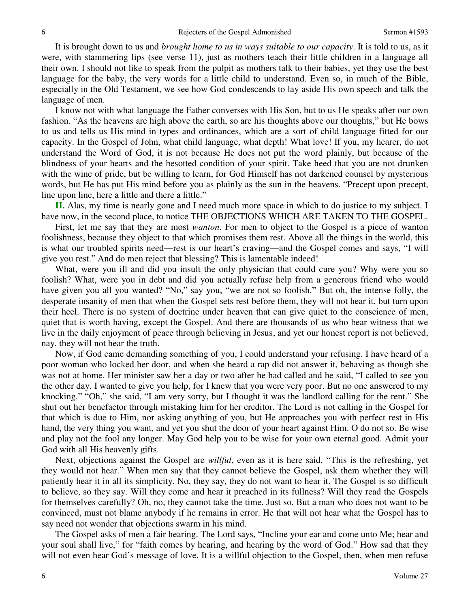It is brought down to us and *brought home to us in ways suitable to our capacity*. It is told to us, as it were, with stammering lips (see verse 11), just as mothers teach their little children in a language all their own. I should not like to speak from the pulpit as mothers talk to their babies, yet they use the best language for the baby, the very words for a little child to understand. Even so, in much of the Bible, especially in the Old Testament, we see how God condescends to lay aside His own speech and talk the language of men.

 I know not with what language the Father converses with His Son, but to us He speaks after our own fashion. "As the heavens are high above the earth, so are his thoughts above our thoughts," but He bows to us and tells us His mind in types and ordinances, which are a sort of child language fitted for our capacity. In the Gospel of John, what child language, what depth! What love! If you, my hearer, do not understand the Word of God, it is not because He does not put the word plainly, but because of the blindness of your hearts and the besotted condition of your spirit. Take heed that you are not drunken with the wine of pride, but be willing to learn, for God Himself has not darkened counsel by mysterious words, but He has put His mind before you as plainly as the sun in the heavens. "Precept upon precept, line upon line, here a little and there a little."

**II.** Alas, my time is nearly gone and I need much more space in which to do justice to my subject. I have now, in the second place, to notice THE OBJECTIONS WHICH ARE TAKEN TO THE GOSPEL.

 First, let me say that they are most *wanton*. For men to object to the Gospel is a piece of wanton foolishness, because they object to that which promises them rest. Above all the things in the world, this is what our troubled spirits need—rest is our heart's craving—and the Gospel comes and says, "I will give you rest." And do men reject that blessing? This is lamentable indeed!

What, were you ill and did you insult the only physician that could cure you? Why were you so foolish? What, were you in debt and did you actually refuse help from a generous friend who would have given you all you wanted? "No," say you, "we are not so foolish." But oh, the intense folly, the desperate insanity of men that when the Gospel sets rest before them, they will not hear it, but turn upon their heel. There is no system of doctrine under heaven that can give quiet to the conscience of men, quiet that is worth having, except the Gospel. And there are thousands of us who bear witness that we live in the daily enjoyment of peace through believing in Jesus, and yet our honest report is not believed, nay, they will not hear the truth.

 Now, if God came demanding something of you, I could understand your refusing. I have heard of a poor woman who locked her door, and when she heard a rap did not answer it, behaving as though she was not at home. Her minister saw her a day or two after he had called and he said, "I called to see you the other day. I wanted to give you help, for I knew that you were very poor. But no one answered to my knocking." "Oh," she said, "I am very sorry, but I thought it was the landlord calling for the rent." She shut out her benefactor through mistaking him for her creditor. The Lord is not calling in the Gospel for that which is due to Him, nor asking anything of you, but He approaches you with perfect rest in His hand, the very thing you want, and yet you shut the door of your heart against Him. O do not so. Be wise and play not the fool any longer. May God help you to be wise for your own eternal good. Admit your God with all His heavenly gifts.

 Next, objections against the Gospel are *willful*, even as it is here said, "This is the refreshing, yet they would not hear." When men say that they cannot believe the Gospel, ask them whether they will patiently hear it in all its simplicity. No, they say, they do not want to hear it. The Gospel is so difficult to believe, so they say. Will they come and hear it preached in its fullness? Will they read the Gospels for themselves carefully? Oh, no, they cannot take the time. Just so. But a man who does not want to be convinced, must not blame anybody if he remains in error. He that will not hear what the Gospel has to say need not wonder that objections swarm in his mind.

 The Gospel asks of men a fair hearing. The Lord says, "Incline your ear and come unto Me; hear and your soul shall live," for "faith comes by hearing, and hearing by the word of God." How sad that they will not even hear God's message of love. It is a willful objection to the Gospel, then, when men refuse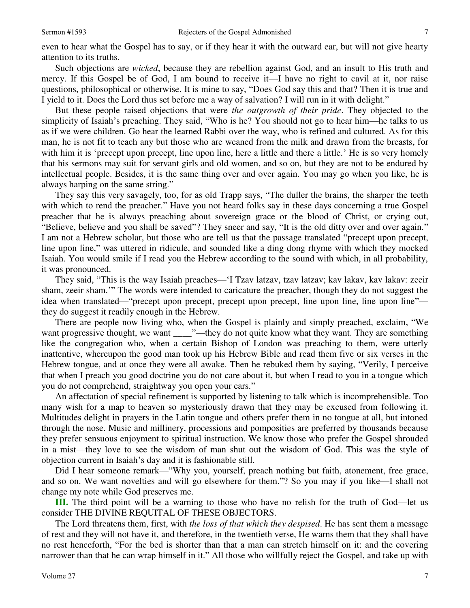even to hear what the Gospel has to say, or if they hear it with the outward ear, but will not give hearty attention to its truths.

 Such objections are *wicked*, because they are rebellion against God, and an insult to His truth and mercy. If this Gospel be of God, I am bound to receive it—I have no right to cavil at it, nor raise questions, philosophical or otherwise. It is mine to say, "Does God say this and that? Then it is true and I yield to it. Does the Lord thus set before me a way of salvation? I will run in it with delight."

 But these people raised objections that were *the outgrowth of their pride*. They objected to the simplicity of Isaiah's preaching. They said, "Who is he? You should not go to hear him—he talks to us as if we were children. Go hear the learned Rabbi over the way, who is refined and cultured. As for this man, he is not fit to teach any but those who are weaned from the milk and drawn from the breasts, for with him it is 'precept upon precept, line upon line, here a little and there a little.' He is so very homely that his sermons may suit for servant girls and old women, and so on, but they are not to be endured by intellectual people. Besides, it is the same thing over and over again. You may go when you like, he is always harping on the same string."

 They say this very savagely, too, for as old Trapp says, "The duller the brains, the sharper the teeth with which to rend the preacher." Have you not heard folks say in these days concerning a true Gospel preacher that he is always preaching about sovereign grace or the blood of Christ, or crying out, "Believe, believe and you shall be saved"? They sneer and say, "It is the old ditty over and over again." I am not a Hebrew scholar, but those who are tell us that the passage translated "precept upon precept, line upon line," was uttered in ridicule, and sounded like a ding dong rhyme with which they mocked Isaiah. You would smile if I read you the Hebrew according to the sound with which, in all probability, it was pronounced.

 They said, "This is the way Isaiah preaches—'I Tzav latzav, tzav latzav; kav lakav, kav lakav: zeeir sham, zeeir sham.'" The words were intended to caricature the preacher, though they do not suggest the idea when translated—"precept upon precept, precept upon precept, line upon line, line upon line" they do suggest it readily enough in the Hebrew.

 There are people now living who, when the Gospel is plainly and simply preached, exclaim, "We want progressive thought, we want \_\_\_\_\_"—they do not quite know what they want. They are something like the congregation who, when a certain Bishop of London was preaching to them, were utterly inattentive, whereupon the good man took up his Hebrew Bible and read them five or six verses in the Hebrew tongue, and at once they were all awake. Then he rebuked them by saying, "Verily, I perceive that when I preach you good doctrine you do not care about it, but when I read to you in a tongue which you do not comprehend, straightway you open your ears."

 An affectation of special refinement is supported by listening to talk which is incomprehensible. Too many wish for a map to heaven so mysteriously drawn that they may be excused from following it. Multitudes delight in prayers in the Latin tongue and others prefer them in no tongue at all, but intoned through the nose. Music and millinery, processions and pomposities are preferred by thousands because they prefer sensuous enjoyment to spiritual instruction. We know those who prefer the Gospel shrouded in a mist—they love to see the wisdom of man shut out the wisdom of God. This was the style of objection current in Isaiah's day and it is fashionable still.

 Did I hear someone remark—"Why you, yourself, preach nothing but faith, atonement, free grace, and so on. We want novelties and will go elsewhere for them."? So you may if you like—I shall not change my note while God preserves me.

**III.** The third point will be a warning to those who have no relish for the truth of God—let us consider THE DIVINE REQUITAL OF THESE OBJECTORS.

 The Lord threatens them, first, with *the loss of that which they despised*. He has sent them a message of rest and they will not have it, and therefore, in the twentieth verse, He warns them that they shall have no rest henceforth, "For the bed is shorter than that a man can stretch himself on it: and the covering narrower than that he can wrap himself in it." All those who willfully reject the Gospel, and take up with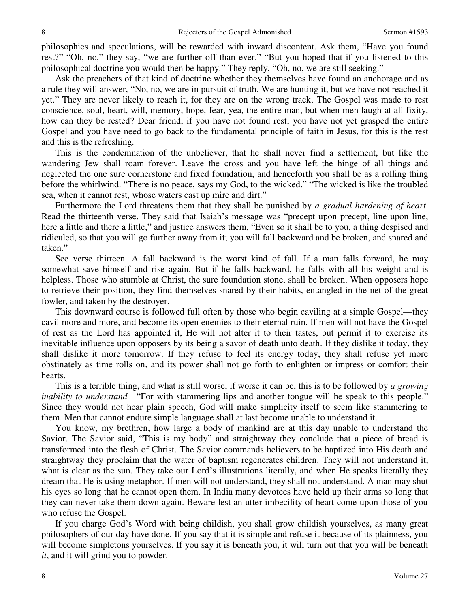philosophies and speculations, will be rewarded with inward discontent. Ask them, "Have you found rest?" "Oh, no," they say, "we are further off than ever." "But you hoped that if you listened to this philosophical doctrine you would then be happy." They reply, "Oh, no, we are still seeking."

 Ask the preachers of that kind of doctrine whether they themselves have found an anchorage and as a rule they will answer, "No, no, we are in pursuit of truth. We are hunting it, but we have not reached it yet." They are never likely to reach it, for they are on the wrong track. The Gospel was made to rest conscience, soul, heart, will, memory, hope, fear, yea, the entire man, but when men laugh at all fixity, how can they be rested? Dear friend, if you have not found rest, you have not yet grasped the entire Gospel and you have need to go back to the fundamental principle of faith in Jesus, for this is the rest and this is the refreshing.

 This is the condemnation of the unbeliever, that he shall never find a settlement, but like the wandering Jew shall roam forever. Leave the cross and you have left the hinge of all things and neglected the one sure cornerstone and fixed foundation, and henceforth you shall be as a rolling thing before the whirlwind. "There is no peace, says my God, to the wicked." "The wicked is like the troubled sea, when it cannot rest, whose waters cast up mire and dirt."

Furthermore the Lord threatens them that they shall be punished by *a gradual hardening of heart*. Read the thirteenth verse. They said that Isaiah's message was "precept upon precept, line upon line, here a little and there a little," and justice answers them, "Even so it shall be to you, a thing despised and ridiculed, so that you will go further away from it; you will fall backward and be broken, and snared and taken."

 See verse thirteen. A fall backward is the worst kind of fall. If a man falls forward, he may somewhat save himself and rise again. But if he falls backward, he falls with all his weight and is helpless. Those who stumble at Christ, the sure foundation stone, shall be broken. When opposers hope to retrieve their position, they find themselves snared by their habits, entangled in the net of the great fowler, and taken by the destroyer.

 This downward course is followed full often by those who begin caviling at a simple Gospel—they cavil more and more, and become its open enemies to their eternal ruin. If men will not have the Gospel of rest as the Lord has appointed it, He will not alter it to their tastes, but permit it to exercise its inevitable influence upon opposers by its being a savor of death unto death. If they dislike it today, they shall dislike it more tomorrow. If they refuse to feel its energy today, they shall refuse yet more obstinately as time rolls on, and its power shall not go forth to enlighten or impress or comfort their hearts.

 This is a terrible thing, and what is still worse, if worse it can be, this is to be followed by *a growing inability to understand*—"For with stammering lips and another tongue will he speak to this people." Since they would not hear plain speech, God will make simplicity itself to seem like stammering to them. Men that cannot endure simple language shall at last become unable to understand it.

 You know, my brethren, how large a body of mankind are at this day unable to understand the Savior. The Savior said, "This is my body" and straightway they conclude that a piece of bread is transformed into the flesh of Christ. The Savior commands believers to be baptized into His death and straightway they proclaim that the water of baptism regenerates children. They will not understand it, what is clear as the sun. They take our Lord's illustrations literally, and when He speaks literally they dream that He is using metaphor. If men will not understand, they shall not understand. A man may shut his eyes so long that he cannot open them. In India many devotees have held up their arms so long that they can never take them down again. Beware lest an utter imbecility of heart come upon those of you who refuse the Gospel.

 If you charge God's Word with being childish, you shall grow childish yourselves, as many great philosophers of our day have done. If you say that it is simple and refuse it because of its plainness, you will become simpletons yourselves. If you say it is beneath you, it will turn out that you will be beneath *it*, and it will grind you to powder.